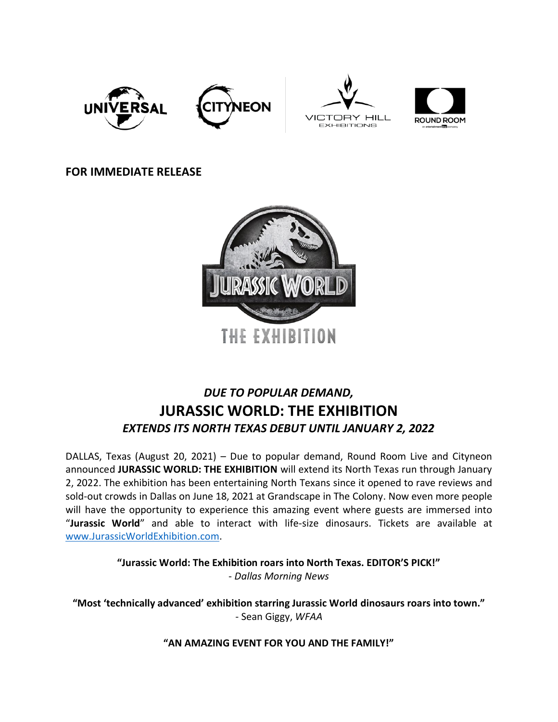





# **FOR IMMEDIATE RELEASE**



# *DUE TO POPULAR DEMAND,* **JURASSIC WORLD: THE EXHIBITION** *EXTENDS ITS NORTH TEXAS DEBUT UNTIL JANUARY 2, 2022*

DALLAS, Texas (August 20, 2021) – Due to popular demand, Round Room Live and Cityneon announced **JURASSIC WORLD: THE EXHIBITION** will extend its North Texas run through January 2, 2022. The exhibition has been entertaining North Texans since it opened to rave reviews and sold-out crowds in Dallas on June 18, 2021 at Grandscape in The Colony. Now even more people will have the opportunity to experience this amazing event where guests are immersed into "**Jurassic World**" and able to interact with life-size dinosaurs. Tickets are available at [www.JurassicWorldExhibition.com.](http://www.jurassicworldexhibition.com/)

> **"Jurassic World: The Exhibition roars into North Texas. EDITOR'S PICK!"** - *Dallas Morning News*

**"Most 'technically advanced' exhibition starring Jurassic World dinosaurs roars into town."** - Sean Giggy, *WFAA*

**"AN AMAZING EVENT FOR YOU AND THE FAMILY!"**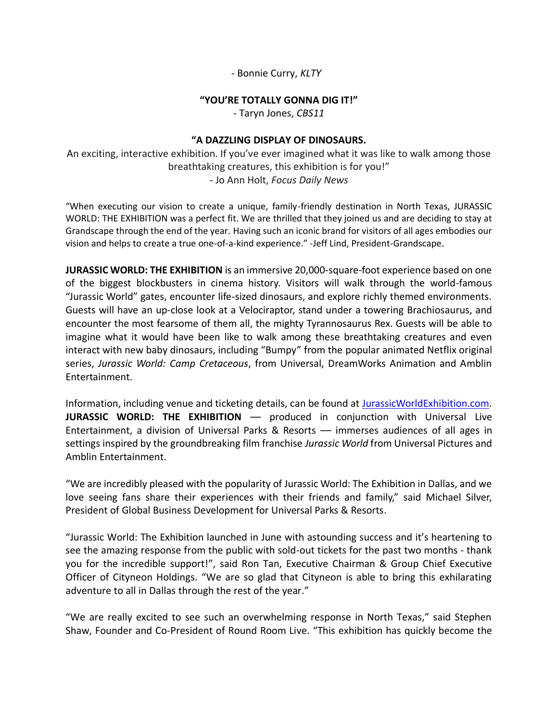- Bonnie Curry, *KLTY*

## **"YOU'RE TOTALLY GONNA DIG IT!"**

- Taryn Jones, *CBS11*

# **"A DAZZLING DISPLAY OF DINOSAURS.**

An exciting, interactive exhibition. If you've ever imagined what it was like to walk among those breathtaking creatures, this exhibition is for you!" - Jo Ann Holt, *Focus Daily News*

"When executing our vision to create a unique, family-friendly destination in North Texas, JURASSIC WORLD: THE EXHIBITION was a perfect fit. We are thrilled that they joined us and are deciding to stay at Grandscape through the end of the year. Having such an iconic brand for visitors of all ages embodies our vision and helps to create a true one-of-a-kind experience." -Jeff Lind, President-Grandscape.

**JURASSIC WORLD: THE EXHIBITION** is an immersive 20,000-square-foot experience based on one of the biggest blockbusters in cinema history. Visitors will walk through the world-famous "Jurassic World" gates, encounter life-sized dinosaurs, and explore richly themed environments. Guests will have an up-close look at a Velociraptor, stand under a towering Brachiosaurus, and encounter the most fearsome of them all, the mighty Tyrannosaurus Rex. Guests will be able to imagine what it would have been like to walk among these breathtaking creatures and even interact with new baby dinosaurs, including "Bumpy" from the popular animated Netflix original series, *Jurassic World: Camp Cretaceous*, from Universal, DreamWorks Animation and Amblin Entertainment.

Information, including venue and ticketing details, can be found at [JurassicWorldExhibition.com.](http://jurassicworldexhibition.com/) **JURASSIC WORLD: THE EXHIBITION** –– produced in conjunction with Universal Live Entertainment, a division of Universal Parks & Resorts –– immerses audiences of all ages in settings inspired by the groundbreaking film franchise *Jurassic World* from Universal Pictures and Amblin Entertainment.

"We are incredibly pleased with the popularity of Jurassic World: The Exhibition in Dallas, and we love seeing fans share their experiences with their friends and family," said Michael Silver, President of Global Business Development for Universal Parks & Resorts.

"Jurassic World: The Exhibition launched in June with astounding success and it's heartening to see the amazing response from the public with sold-out tickets for the past two months - thank you for the incredible support!", said Ron Tan, Executive Chairman & Group Chief Executive Officer of Cityneon Holdings. "We are so glad that Cityneon is able to bring this exhilarating adventure to all in Dallas through the rest of the year."

"We are really excited to see such an overwhelming response in North Texas," said Stephen Shaw, Founder and Co-President of Round Room Live. "This exhibition has quickly become the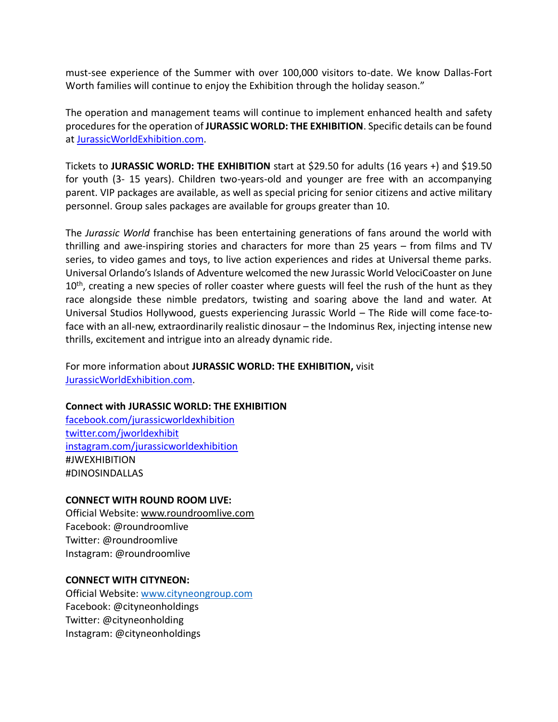must-see experience of the Summer with over 100,000 visitors to-date. We know Dallas-Fort Worth families will continue to enjoy the Exhibition through the holiday season."

The operation and management teams will continue to implement enhanced health and safety procedures for the operation of **JURASSIC WORLD: THE EXHIBITION**. Specific details can be found at [JurassicWorldExhibition.com.](http://www.jurassicworldexhibition.com/)

Tickets to **JURASSIC WORLD: THE EXHIBITION** start at \$29.50 for adults (16 years +) and \$19.50 for youth (3- 15 years). Children two-years-old and younger are free with an accompanying parent. VIP packages are available, as well as special pricing for senior citizens and active military personnel. Group sales packages are available for groups greater than 10.

The *Jurassic World* franchise has been entertaining generations of fans around the world with thrilling and awe-inspiring stories and characters for more than 25 years – from films and TV series, to video games and toys, to live action experiences and rides at Universal theme parks. Universal Orlando's Islands of Adventure welcomed the new Jurassic World VelociCoaster on June 10<sup>th</sup>, creating a new species of roller coaster where guests will feel the rush of the hunt as they race alongside these nimble predators, twisting and soaring above the land and water. At Universal Studios Hollywood, guests experiencing Jurassic World – The Ride will come face-toface with an all-new, extraordinarily realistic dinosaur – the Indominus Rex, injecting intense new thrills, excitement and intrigue into an already dynamic ride.

For more information about **JURASSIC WORLD: THE EXHIBITION,** visit [JurassicWorldExhibition.com.](http://www.jurassicworldexhibition.com/)

#### **Connect with JURASSIC WORLD: THE EXHIBITION**

[facebook.com/jurassicworldexhibition](https://www.facebook.com/jurassicworldexhibition) [twitter.com/jworldexhibit](http://twitter.com/jworldexhibit) [instagram.com/jurassicworldexhibition](https://www.instagram.com/jurassicworldexhibition/) #JWEXHIBITION #DINOSINDALLAS

#### **CONNECT WITH ROUND ROOM LIVE:**

Official Website: [www.roundroomlive.com](http://www.roundroomlive.com/) Facebook: @roundroomlive Twitter: @roundroomlive Instagram: @roundroomlive

#### **CONNECT WITH CITYNEON:**

Official Website: [www.cityneongroup.com](http://www.cityneongroup.com/) Facebook: @cityneonholdings Twitter: @cityneonholding Instagram: @cityneonholdings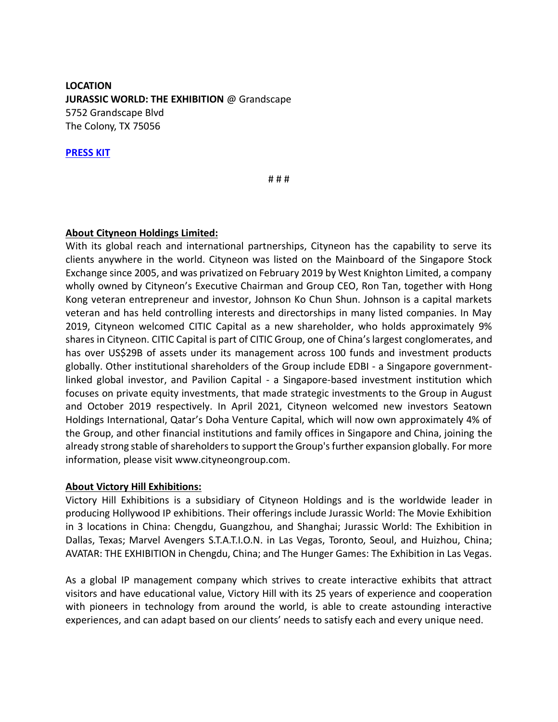**LOCATION JURASSIC WORLD: THE EXHIBITION @ Grandscape** 5752 Grandscape Blvd The Colony, TX 75056

**[PRESS KIT](https://www.dropbox.com/sh/1rhan4po0j77l18/AACuiP3S9FPtbse7COBqS7u3a?dl=0)**

# # #

#### **About Cityneon Holdings Limited:**

With its global reach and international partnerships, Cityneon has the capability to serve its clients anywhere in the world. Cityneon was listed on the Mainboard of the Singapore Stock Exchange since 2005, and was privatized on February 2019 by West Knighton Limited, a company wholly owned by Cityneon's Executive Chairman and Group CEO, Ron Tan, together with Hong Kong veteran entrepreneur and investor, Johnson Ko Chun Shun. Johnson is a capital markets veteran and has held controlling interests and directorships in many listed companies. In May 2019, Cityneon welcomed CITIC Capital as a new shareholder, who holds approximately 9% shares in Cityneon. CITIC Capital is part of CITIC Group, one of China's largest conglomerates, and has over US\$29B of assets under its management across 100 funds and investment products globally. Other institutional shareholders of the Group include EDBI - a Singapore governmentlinked global investor, and Pavilion Capital - a Singapore-based investment institution which focuses on private equity investments, that made strategic investments to the Group in August and October 2019 respectively. In April 2021, Cityneon welcomed new investors Seatown Holdings International, Qatar's Doha Venture Capital, which will now own approximately 4% of the Group, and other financial institutions and family offices in Singapore and China, joining the already strong stable of shareholders to support the Group's further expansion globally. For more information, please visit www.cityneongroup.com.

#### **About Victory Hill Exhibitions:**

Victory Hill Exhibitions is a subsidiary of Cityneon Holdings and is the worldwide leader in producing Hollywood IP exhibitions. Their offerings include Jurassic World: The Movie Exhibition in 3 locations in China: Chengdu, Guangzhou, and Shanghai; Jurassic World: The Exhibition in Dallas, Texas; Marvel Avengers S.T.A.T.I.O.N. in Las Vegas, Toronto, Seoul, and Huizhou, China; AVATAR: THE EXHIBITION in Chengdu, China; and The Hunger Games: The Exhibition in Las Vegas.

As a global IP management company which strives to create interactive exhibits that attract visitors and have educational value, Victory Hill with its 25 years of experience and cooperation with pioneers in technology from around the world, is able to create astounding interactive experiences, and can adapt based on our clients' needs to satisfy each and every unique need.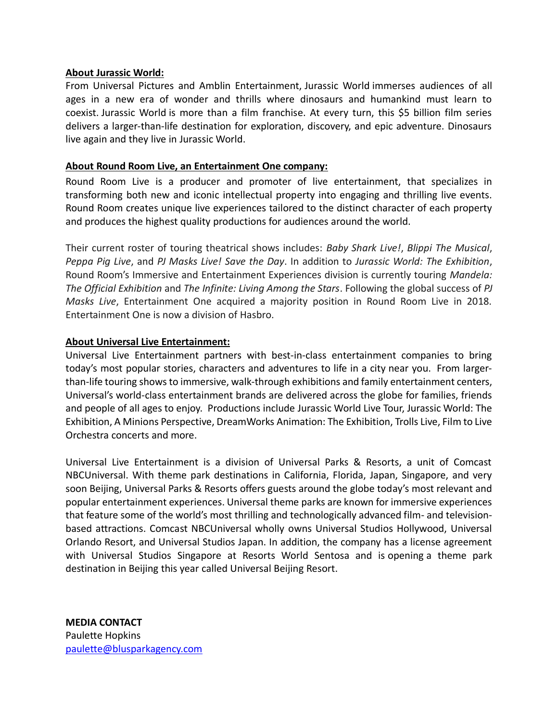# **About Jurassic World:**

From Universal Pictures and Amblin Entertainment, Jurassic World immerses audiences of all ages in a new era of wonder and thrills where dinosaurs and humankind must learn to coexist. Jurassic World is more than a film franchise. At every turn, this \$5 billion film series delivers a larger-than-life destination for exploration, discovery, and epic adventure. Dinosaurs live again and they live in Jurassic World.

# **About Round Room Live, an Entertainment One company:**

Round Room Live is a producer and promoter of live entertainment, that specializes in transforming both new and iconic intellectual property into engaging and thrilling live events. Round Room creates unique live experiences tailored to the distinct character of each property and produces the highest quality productions for audiences around the world.

Their current roster of touring theatrical shows includes: *Baby Shark Live!*, *Blippi The Musical*, *Peppa Pig Live*, and *PJ Masks Live! Save the Day*. In addition to *Jurassic World: The Exhibition*, Round Room's Immersive and Entertainment Experiences division is currently touring *Mandela: The Official Exhibition* and *The Infinite: Living Among the Stars*. Following the global success of *PJ Masks Live*, Entertainment One acquired a majority position in Round Room Live in 2018. Entertainment One is now a division of Hasbro.

# **About Universal Live Entertainment:**

Universal Live Entertainment partners with best-in-class entertainment companies to bring today's most popular stories, characters and adventures to life in a city near you. From largerthan-life touring shows to immersive, walk-through exhibitions and family entertainment centers, Universal's world-class entertainment brands are delivered across the globe for families, friends and people of all ages to enjoy. Productions include Jurassic World Live Tour, Jurassic World: The Exhibition, A Minions Perspective, DreamWorks Animation: The Exhibition, Trolls Live, Film to Live Orchestra concerts and more.

Universal Live Entertainment is a division of Universal Parks & Resorts, a unit of Comcast NBCUniversal. With theme park destinations in California, Florida, Japan, Singapore, and very soon Beijing, Universal Parks & Resorts offers guests around the globe today's most relevant and popular entertainment experiences. Universal theme parks are known for immersive experiences that feature some of the world's most thrilling and technologically advanced film- and televisionbased attractions. Comcast NBCUniversal wholly owns Universal Studios Hollywood, Universal Orlando Resort, and Universal Studios Japan. In addition, the company has a license agreement with Universal Studios Singapore at Resorts World Sentosa and is opening a theme park destination in Beijing this year called Universal Beijing Resort.

**MEDIA CONTACT** Paulette Hopkins [paulette@blusparkagency.com](mailto:paulette@blusparkagency.com)